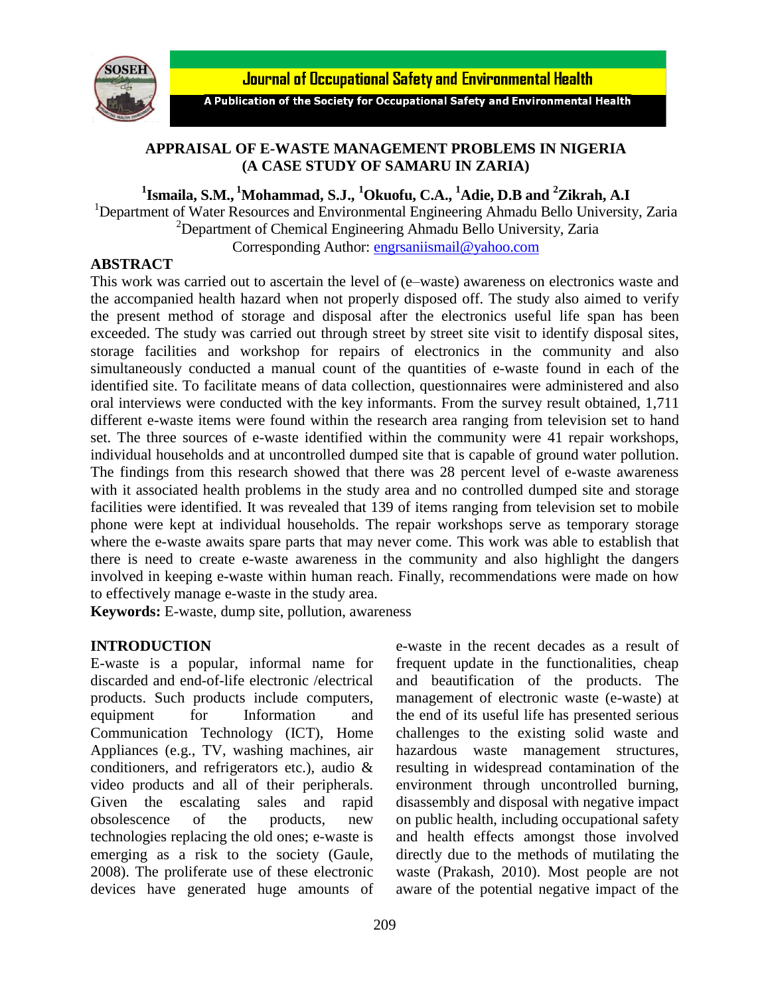

**Journal of Occupational Safety and Environmental Health** 

A Publication of the Society for Occupational Safety and Environmental Health

## **APPRAISAL OF E-WASTE MANAGEMENT PROBLEMS IN NIGERIA (A CASE STUDY OF SAMARU IN ZARIA)**

**1 Ismaila, S.M., <sup>1</sup>Mohammad, S.J., <sup>1</sup>Okuofu, C.A., <sup>1</sup>Adie, D.B and <sup>2</sup>Zikrah, A.I**

<sup>1</sup>Department of Water Resources and Environmental Engineering Ahmadu Bello University, Zaria  $2$ Department of Chemical Engineering Ahmadu Bello University, Zaria Corresponding Author: [engrsaniismail@yahoo.com](mailto:engrsaniismail@yahoo.com)

### **ABSTRACT**

This work was carried out to ascertain the level of (e–waste) awareness on electronics waste and the accompanied health hazard when not properly disposed off. The study also aimed to verify the present method of storage and disposal after the electronics useful life span has been exceeded. The study was carried out through street by street site visit to identify disposal sites, storage facilities and workshop for repairs of electronics in the community and also simultaneously conducted a manual count of the quantities of e-waste found in each of the identified site. To facilitate means of data collection, questionnaires were administered and also oral interviews were conducted with the key informants. From the survey result obtained, 1,711 different e-waste items were found within the research area ranging from television set to hand set. The three sources of e-waste identified within the community were 41 repair workshops, individual households and at uncontrolled dumped site that is capable of ground water pollution. The findings from this research showed that there was 28 percent level of e-waste awareness with it associated health problems in the study area and no controlled dumped site and storage facilities were identified. It was revealed that 139 of items ranging from television set to mobile phone were kept at individual households. The repair workshops serve as temporary storage where the e-waste awaits spare parts that may never come. This work was able to establish that there is need to create e-waste awareness in the community and also highlight the dangers involved in keeping e-waste within human reach. Finally, recommendations were made on how to effectively manage e-waste in the study area.

**Keywords:** E-waste, dump site, pollution, awareness

## **INTRODUCTION**

E-waste is a popular, informal name for discarded and end-of-life electronic /electrical products. Such products include computers, equipment for Information and Communication Technology (ICT), Home Appliances (e.g., TV, washing machines, air conditioners, and refrigerators etc.), audio & video products and all of their peripherals. Given the escalating sales and rapid obsolescence of the products, new technologies replacing the old ones; e-waste is emerging as a risk to the society (Gaule, 2008). The proliferate use of these electronic devices have generated huge amounts of e-waste in the recent decades as a result of frequent update in the functionalities, cheap and beautification of the products. The management of electronic waste (e-waste) at the end of its useful life has presented serious challenges to the existing solid waste and hazardous waste management structures, resulting in widespread contamination of the environment through uncontrolled burning, disassembly and disposal with negative impact on public health, including occupational safety and health effects amongst those involved directly due to the methods of mutilating the waste (Prakash, 2010). Most people are not aware of the potential negative impact of the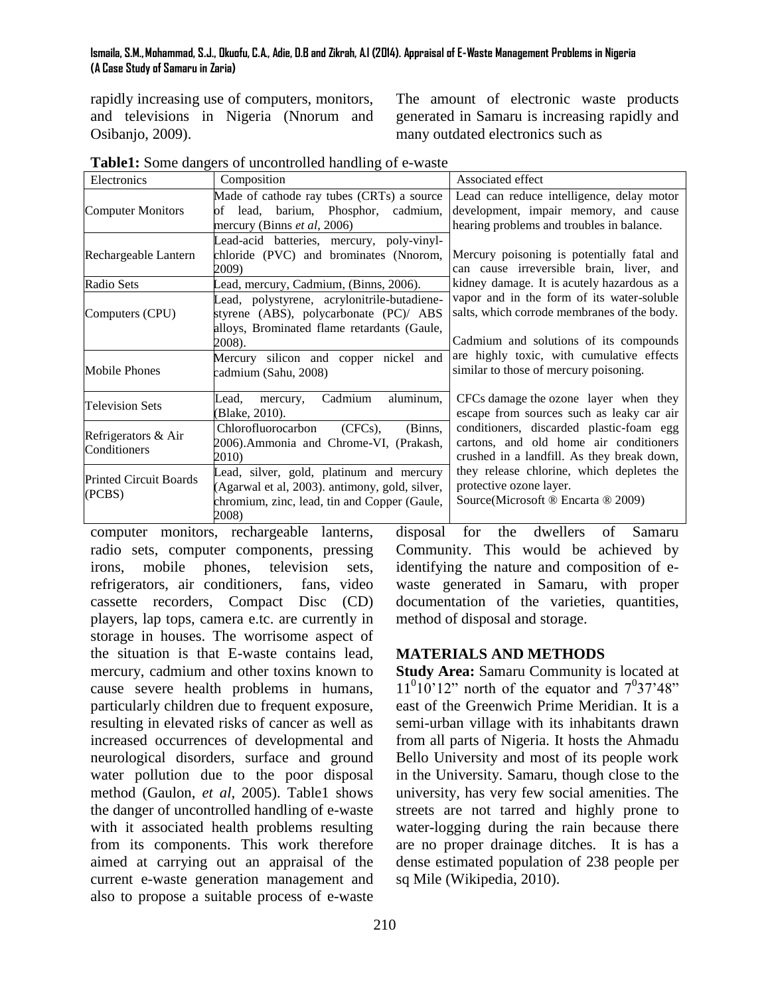rapidly increasing use of computers, monitors, and televisions in Nigeria (Nnorum and Osibanjo, 2009).

The amount of electronic waste products generated in Samaru is increasing rapidly and many outdated electronics such as

| Electronics                             | Composition                                                                      | Associated effect                                                                  |  |  |  |  |
|-----------------------------------------|----------------------------------------------------------------------------------|------------------------------------------------------------------------------------|--|--|--|--|
| <b>Computer Monitors</b>                | Made of cathode ray tubes (CRTs) a source<br>of lead, barium, Phosphor, cadmium, | Lead can reduce intelligence, delay motor<br>development, impair memory, and cause |  |  |  |  |
|                                         | mercury (Binns et al, 2006)                                                      | hearing problems and troubles in balance.                                          |  |  |  |  |
|                                         | Lead-acid batteries, mercury, poly-vinyl-                                        |                                                                                    |  |  |  |  |
| Rechargeable Lantern                    | chloride (PVC) and brominates (Nnorom,                                           | Mercury poisoning is potentially fatal and                                         |  |  |  |  |
|                                         | 2009)                                                                            | can cause irreversible brain, liver, and                                           |  |  |  |  |
| Radio Sets                              | Lead, mercury, Cadmium, (Binns, 2006).                                           | kidney damage. It is acutely hazardous as a                                        |  |  |  |  |
|                                         | Lead, polystyrene, acrylonitrile-butadiene-                                      | vapor and in the form of its water-soluble                                         |  |  |  |  |
| Computers (CPU)                         | styrene (ABS), polycarbonate (PC)/ ABS                                           | salts, which corrode membranes of the body.                                        |  |  |  |  |
|                                         | alloys, Brominated flame retardants (Gaule,                                      |                                                                                    |  |  |  |  |
|                                         | 2008).                                                                           | Cadmium and solutions of its compounds                                             |  |  |  |  |
| <b>Mobile Phones</b>                    | Mercury silicon and copper nickel and                                            | are highly toxic, with cumulative effects                                          |  |  |  |  |
|                                         | cadmium (Sahu, 2008)                                                             | similar to those of mercury poisoning.                                             |  |  |  |  |
| <b>Television Sets</b>                  | aluminum,<br>Cadmium<br>Lead.<br>mercury,                                        | CFCs damage the ozone layer when they                                              |  |  |  |  |
|                                         | (Blake, 2010).                                                                   | escape from sources such as leaky car air                                          |  |  |  |  |
| Refrigerators & Air<br>Conditioners     | Chlorofluorocarbon<br>$(CFCs)$ ,<br>(Binns,                                      | conditioners, discarded plastic-foam egg                                           |  |  |  |  |
|                                         | 2006). Ammonia and Chrome-VI, (Prakash,                                          | cartons, and old home air conditioners                                             |  |  |  |  |
|                                         | 2010)                                                                            | crushed in a landfill. As they break down,                                         |  |  |  |  |
| <b>Printed Circuit Boards</b><br>(PCBS) | Lead, silver, gold, platinum and mercury                                         | they release chlorine, which depletes the                                          |  |  |  |  |
|                                         | (Agarwal et al, 2003). antimony, gold, silver,                                   | protective ozone layer.                                                            |  |  |  |  |
|                                         | chromium, zinc, lead, tin and Copper (Gaule,                                     | Source(Microsoft ® Encarta ® 2009)                                                 |  |  |  |  |
|                                         | 2008)                                                                            |                                                                                    |  |  |  |  |

**Table1:** Some dangers of uncontrolled handling of e-waste

computer monitors, rechargeable lanterns, radio sets, computer components, pressing irons, mobile phones, television sets, refrigerators, air conditioners, fans, video cassette recorders, Compact Disc (CD) players, lap tops, camera e.tc. are currently in storage in houses. The worrisome aspect of the situation is that E-waste contains lead, mercury, cadmium and other toxins known to cause severe health problems in humans, particularly children due to frequent exposure, resulting in elevated risks of cancer as well as increased occurrences of developmental and neurological disorders, surface and ground water pollution due to the poor disposal method (Gaulon, *et al,* 2005). Table1 shows the danger of uncontrolled handling of e-waste with it associated health problems resulting from its components. This work therefore aimed at carrying out an appraisal of the current e-waste generation management and also to propose a suitable process of e-waste

disposal for the dwellers of Samaru Community. This would be achieved by identifying the nature and composition of ewaste generated in Samaru, with proper documentation of the varieties, quantities, method of disposal and storage.

# **MATERIALS AND METHODS**

**Study Area:** Samaru Community is located at  $11<sup>0</sup>10'12''$  north of the equator and  $7<sup>0</sup>37'48''$ east of the Greenwich Prime Meridian. It is a semi-urban village with its inhabitants drawn from all parts of Nigeria. It hosts the Ahmadu Bello University and most of its people work in the University. Samaru, though close to the university, has very few social amenities. The streets are not tarred and highly prone to water-logging during the rain because there are no proper drainage ditches. It is has a dense estimated population of 238 people per sq Mile (Wikipedia, 2010).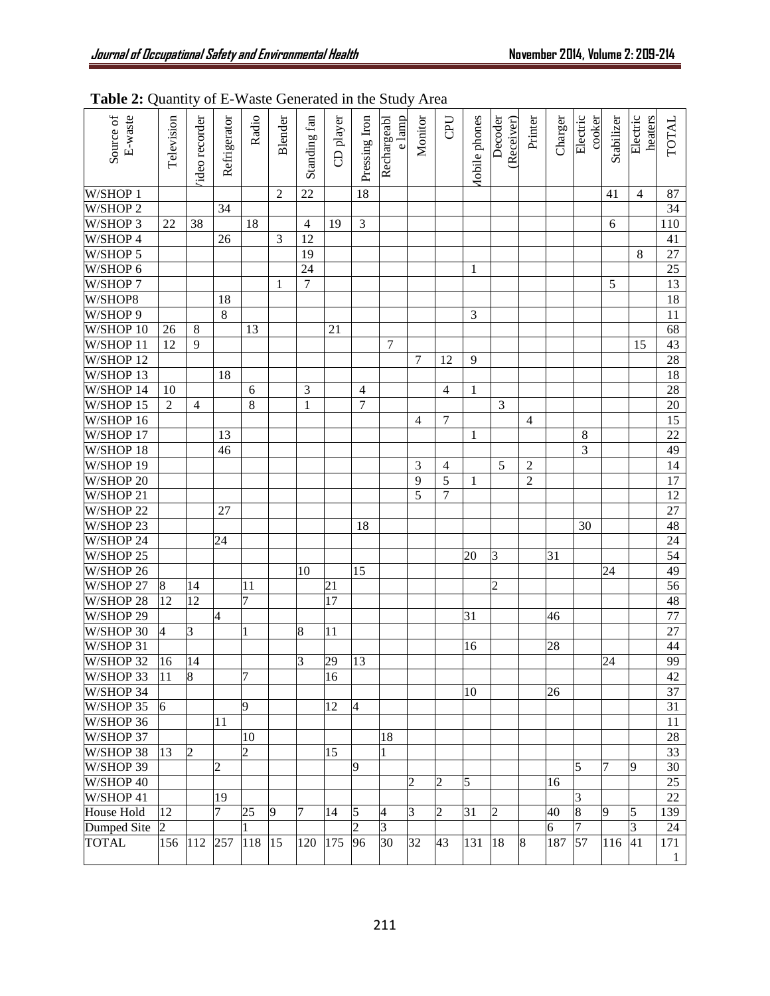| Source of<br>E-waste | Television     | ideo recorder         | Refrigerator   | Radio          | Blender        | Standing fan    | CD player | Pressing Iron  | e lamp<br>Rechargeabl | Monitor        | CPU            | <b>Aobile</b> phones | Decoder<br>(Receiver) | Printer        | Charger | Electric<br>cooker | Stabilizer | Electric<br>heaters | <b>TOTAL</b>        |
|----------------------|----------------|-----------------------|----------------|----------------|----------------|-----------------|-----------|----------------|-----------------------|----------------|----------------|----------------------|-----------------------|----------------|---------|--------------------|------------|---------------------|---------------------|
| W/SHOP 1             |                |                       |                |                | 2              | $22\,$          |           | 18             |                       |                |                |                      |                       |                |         |                    | 41         | $\overline{4}$      | 87                  |
| W/SHOP 2             |                |                       | 34             |                |                |                 |           |                |                       |                |                |                      |                       |                |         |                    |            |                     | 34                  |
| W/SHOP 3             | 22             | 38                    |                | 18             |                | $\overline{4}$  | 19        | 3              |                       |                |                |                      |                       |                |         |                    | 6          |                     | 110                 |
| W/SHOP 4             |                |                       | 26             |                | 3              | $\overline{12}$ |           |                |                       |                |                |                      |                       |                |         |                    |            |                     | 41                  |
| W/SHOP 5             |                |                       |                |                |                | $\overline{19}$ |           |                |                       |                |                |                      |                       |                |         |                    |            | 8                   | 27                  |
| W/SHOP 6             |                |                       |                |                |                | 24              |           |                |                       |                |                | 1                    |                       |                |         |                    |            |                     | 25                  |
| W/SHOP 7             |                |                       |                |                | 1              | $\overline{7}$  |           |                |                       |                |                |                      |                       |                |         |                    | 5          |                     | 13                  |
| W/SHOP8              |                |                       | 18             |                |                |                 |           |                |                       |                |                |                      |                       |                |         |                    |            |                     | 18                  |
| W/SHOP 9             |                |                       | 8              |                |                |                 |           |                |                       |                |                | 3                    |                       |                |         |                    |            |                     | 11                  |
| W/SHOP 10            | 26             | 8                     |                | 13             |                |                 | 21        |                |                       |                |                |                      |                       |                |         |                    |            |                     | 68                  |
| W/SHOP 11            | 12             | 9                     |                |                |                |                 |           |                | 7                     |                |                |                      |                       |                |         |                    |            | 15                  | 43                  |
| W/SHOP 12            |                |                       |                |                |                |                 |           |                |                       | 7              | 12             | 9                    |                       |                |         |                    |            |                     | $\overline{28}$     |
| W/SHOP 13            |                |                       | 18             |                |                |                 |           |                |                       |                |                |                      |                       |                |         |                    |            |                     | 18                  |
| W/SHOP 14            | 10             |                       |                | 6              |                | 3               |           | $\overline{4}$ |                       |                | 4              | $\mathbf{1}$         |                       |                |         |                    |            |                     | $\overline{28}$     |
| W/SHOP 15            | $\overline{2}$ | $\overline{4}$        |                | 8              |                | $\mathbf{1}$    |           | 7              |                       |                |                |                      | 3                     |                |         |                    |            |                     | 20                  |
| W/SHOP 16            |                |                       |                |                |                |                 |           |                |                       | 4              | 7              |                      |                       | 4              |         |                    |            |                     | 15                  |
| W/SHOP 17            |                |                       | 13             |                |                |                 |           |                |                       |                |                | $\mathbf{1}$         |                       |                |         | 8                  |            |                     | 22                  |
| W/SHOP 18            |                |                       | 46             |                |                |                 |           |                |                       |                |                |                      |                       |                |         | 3                  |            |                     | 49                  |
| W/SHOP 19            |                |                       |                |                |                |                 |           |                |                       | 3              | $\overline{4}$ |                      | 5                     | $\overline{2}$ |         |                    |            |                     | 14                  |
| W/SHOP 20            |                |                       |                |                |                |                 |           |                |                       | 9              | 5              | $\mathbf{1}$         |                       | $\overline{2}$ |         |                    |            |                     | 17                  |
| W/SHOP 21            |                |                       |                |                |                |                 |           |                |                       | $\overline{5}$ | $\overline{7}$ |                      |                       |                |         |                    |            |                     | 12                  |
| W/SHOP 22            |                |                       | 27             |                |                |                 |           |                |                       |                |                |                      |                       |                |         |                    |            |                     | 27                  |
| W/SHOP 23            |                |                       |                |                |                |                 |           | 18             |                       |                |                |                      |                       |                |         | 30                 |            |                     | $\overline{48}$     |
| W/SHOP <sub>24</sub> |                |                       | 24             |                |                |                 |           |                |                       |                |                |                      |                       |                |         |                    |            |                     | 24                  |
| $W/SHOP$ 25          |                |                       |                |                |                |                 |           |                |                       |                |                | 20                   | 3                     |                | 31      |                    |            |                     | $\overline{54}$     |
| W/SHOP 26            |                |                       |                |                |                | 10              |           | 15             |                       |                |                |                      |                       |                |         |                    | 24         |                     | 49                  |
| W/SHOP 27            | 8              | 14                    |                | 11             |                |                 | 21        |                |                       |                |                |                      | $\overline{c}$        |                |         |                    |            |                     | 56                  |
| W/SHOP 28            | 12             | 12                    |                | 7              |                |                 | 17        |                |                       |                |                |                      |                       |                |         |                    |            |                     | 48                  |
| W/SHOP 29            |                |                       | 4              |                |                |                 |           |                |                       |                |                | 31                   |                       |                | 46      |                    |            |                     | 77                  |
| W/SHOP 30            | $\overline{4}$ | 3                     |                | $\mathbf{1}$   |                | 8               | 11        |                |                       |                |                |                      |                       |                |         |                    |            |                     | 27                  |
| W/SHOP 31            |                |                       |                |                |                |                 |           |                |                       |                |                | 16                   |                       |                | 28      |                    |            |                     | 44                  |
| W/SHOP 32            | 16             | 14                    |                |                |                | 3               | 29        | 13             |                       |                |                |                      |                       |                |         |                    | 24         |                     | 99                  |
| W/SHOP 33 11         |                | $\overline{8}$        |                | $\overline{7}$ |                |                 | 16        |                |                       |                |                |                      |                       |                |         |                    |            |                     | 42                  |
| W/SHOP 34            |                |                       |                |                |                |                 |           |                |                       |                |                | 10                   |                       |                | 26      |                    |            |                     | 37                  |
| W/SHOP 35            | 6              |                       |                | 9              |                |                 | 12        | $\overline{4}$ |                       |                |                |                      |                       |                |         |                    |            |                     | 31                  |
| W/SHOP 36            |                |                       | 11             |                |                |                 |           |                |                       |                |                |                      |                       |                |         |                    |            |                     | 11                  |
| W/SHOP 37            |                |                       |                | 10             |                |                 |           |                | 18                    |                |                |                      |                       |                |         |                    |            |                     | 28                  |
| W/SHOP 38            | 13             | $\overline{2}$        |                | $\overline{2}$ |                |                 | 15        |                | $\mathbf{1}$          |                |                |                      |                       |                |         |                    |            |                     | 33                  |
| W/SHOP 39            |                |                       | $\overline{c}$ |                |                |                 |           | 9              |                       |                |                |                      |                       |                |         | 5                  | 7          | 9                   | 30                  |
| W/SHOP 40            |                |                       |                |                |                |                 |           |                |                       | $\overline{2}$ | $\overline{2}$ | 5                    |                       |                | 16      |                    |            |                     | 25                  |
| W/SHOP 41            |                |                       | 19             |                |                |                 |           |                |                       |                |                |                      |                       |                |         | 3                  |            |                     | 22                  |
| House Hold           | 12             |                       | $\overline{7}$ | 25             | $\overline{9}$ | 7               | 14        | 5              | 4                     | 3              | $\overline{2}$ | 31                   | $\overline{c}$        |                | 40      | $\overline{8}$     | 9          | 5                   | 139                 |
| Dumped Site          | 2              |                       |                | $\mathbf{1}$   |                |                 |           | $\mathfrak{D}$ | $\overline{3}$        |                |                |                      |                       |                | 6       |                    |            | $\overline{3}$      | 24                  |
| <b>TOTAL</b>         | 156            | $112\ \overline{257}$ |                | 118 15         |                | 120 175         |           | 96             | 30                    | 32             | 43             | 131                  | 18                    | 8              | 187     | 57                 | 116        | 41                  | 171<br>$\mathbf{1}$ |

# **Table 2:** Quantity of E-Waste Generated in the Study Area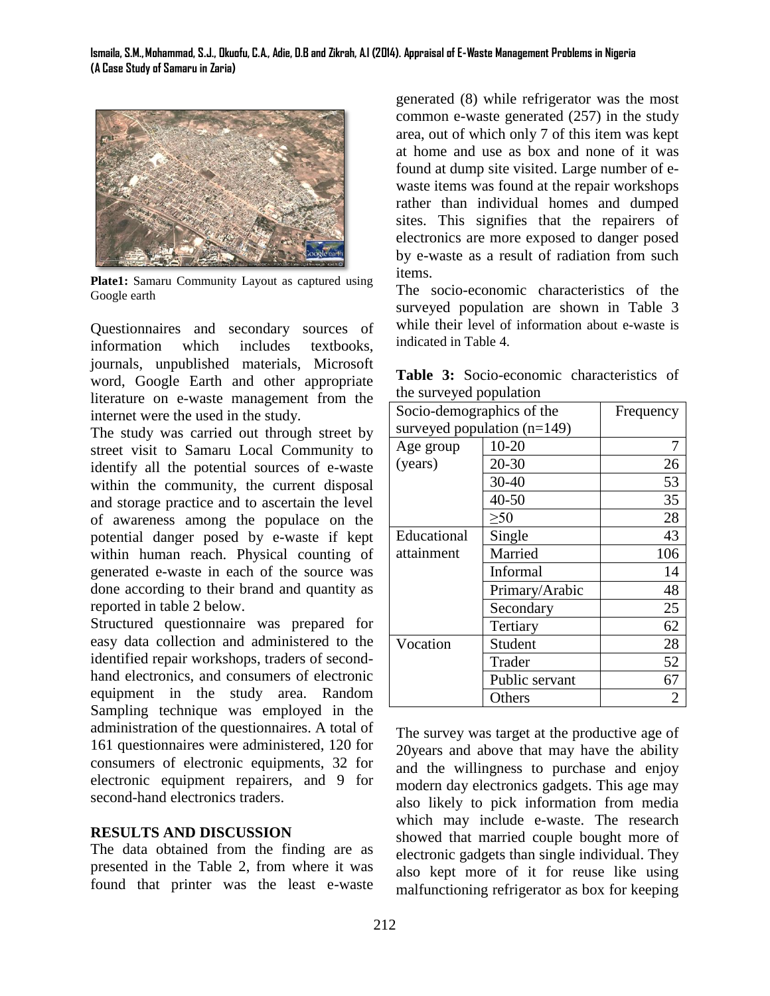

**Plate1:** Samaru Community Layout as captured using Google earth

Questionnaires and secondary sources of information which includes textbooks, journals, unpublished materials, Microsoft word, Google Earth and other appropriate literature on e-waste management from the internet were the used in the study.

The study was carried out through street by street visit to Samaru Local Community to identify all the potential sources of e-waste within the community, the current disposal and storage practice and to ascertain the level of awareness among the populace on the potential danger posed by e-waste if kept within human reach. Physical counting of generated e-waste in each of the source was done according to their brand and quantity as reported in table 2 below.

Structured questionnaire was prepared for easy data collection and administered to the identified repair workshops, traders of secondhand electronics, and consumers of electronic equipment in the study area. Random Sampling technique was employed in the administration of the questionnaires. A total of 161 questionnaires were administered, 120 for consumers of electronic equipments, 32 for electronic equipment repairers, and 9 for second-hand electronics traders.

## **RESULTS AND DISCUSSION**

The data obtained from the finding are as presented in the Table 2, from where it was found that printer was the least e-waste

generated (8) while refrigerator was the most common e-waste generated (257) in the study area, out of which only 7 of this item was kept at home and use as box and none of it was found at dump site visited. Large number of ewaste items was found at the repair workshops rather than individual homes and dumped sites. This signifies that the repairers of electronics are more exposed to danger posed by e-waste as a result of radiation from such items.

The socio-economic characteristics of the surveyed population are shown in Table 3 while their level of information about e-waste is indicated in Table 4.

**Table 3:** Socio-economic characteristics of the surveyed population

| $\mathcal{L}$ our $\mathcal{L}$ of $\mathcal{L}$ population<br>Socio-demographics of the | Frequency      |     |  |  |  |  |
|------------------------------------------------------------------------------------------|----------------|-----|--|--|--|--|
| surveyed population $(n=149)$                                                            |                |     |  |  |  |  |
| Age group                                                                                | $10 - 20$      |     |  |  |  |  |
| (years)                                                                                  | $20 - 30$      | 26  |  |  |  |  |
|                                                                                          | 30-40          | 53  |  |  |  |  |
|                                                                                          | $40 - 50$      | 35  |  |  |  |  |
|                                                                                          | 28             |     |  |  |  |  |
| Educational                                                                              | Single         | 43  |  |  |  |  |
| attainment                                                                               | Married        | 106 |  |  |  |  |
|                                                                                          | Informal       | 14  |  |  |  |  |
|                                                                                          | Primary/Arabic | 48  |  |  |  |  |
|                                                                                          | Secondary      | 25  |  |  |  |  |
|                                                                                          | Tertiary       | 62  |  |  |  |  |
| Vocation                                                                                 | Student        | 28  |  |  |  |  |
|                                                                                          | Trader         | 52  |  |  |  |  |
|                                                                                          | Public servant | 67  |  |  |  |  |
|                                                                                          | Others         | 2   |  |  |  |  |

The survey was target at the productive age of 20years and above that may have the ability and the willingness to purchase and enjoy modern day electronics gadgets. This age may also likely to pick information from media which may include e-waste. The research showed that married couple bought more of electronic gadgets than single individual. They also kept more of it for reuse like using malfunctioning refrigerator as box for keeping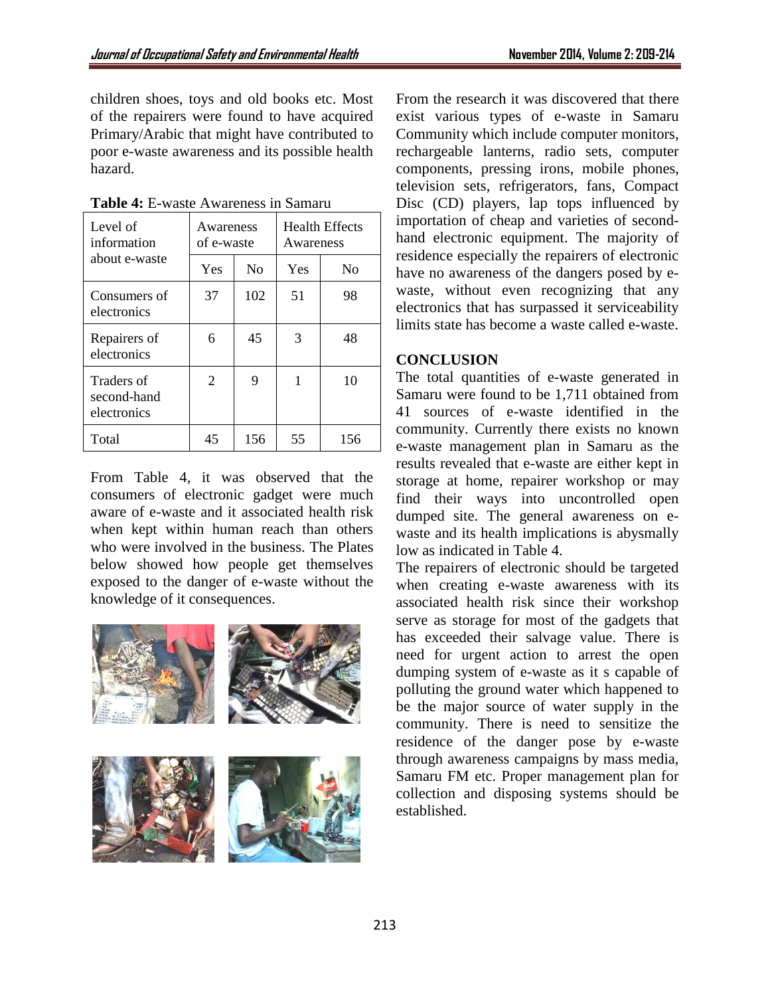children shoes, toys and old books etc. Most of the repairers were found to have acquired Primary/Arabic that might have contributed to poor e-waste awareness and its possible health hazard.

| Level of<br>information                  | Awareness<br>of e-waste |                | <b>Health Effects</b><br>Awareness |                |  |  |
|------------------------------------------|-------------------------|----------------|------------------------------------|----------------|--|--|
| about e-waste                            | Yes                     | N <sub>0</sub> | Yes                                | N <sub>0</sub> |  |  |
| Consumers of<br>electronics              | 37                      | 102            | 51                                 | 98             |  |  |
| Repairers of<br>electronics              | 6                       | 45             | 3                                  | 48             |  |  |
| Traders of<br>second-hand<br>electronics | 2                       | 9              | 1                                  | 10             |  |  |
| Total                                    | 45                      | 156            | 55                                 | 156            |  |  |

**Table 4:** E-waste Awareness in Samaru

From Table 4, it was observed that the consumers of electronic gadget were much aware of e-waste and it associated health risk when kept within human reach than others who were involved in the business. The Plates below showed how people get themselves exposed to the danger of e-waste without the knowledge of it consequences.



From the research it was discovered that there exist various types of e-waste in Samaru Community which include computer monitors, rechargeable lanterns, radio sets, computer components, pressing irons, mobile phones, television sets, refrigerators, fans, Compact Disc (CD) players, lap tops influenced by importation of cheap and varieties of secondhand electronic equipment. The majority of residence especially the repairers of electronic have no awareness of the dangers posed by ewaste, without even recognizing that any electronics that has surpassed it serviceability limits state has become a waste called e-waste.

## **CONCLUSION**

The total quantities of e-waste generated in Samaru were found to be 1,711 obtained from 41 sources of e-waste identified in the community. Currently there exists no known e-waste management plan in Samaru as the results revealed that e-waste are either kept in storage at home, repairer workshop or may find their ways into uncontrolled open dumped site. The general awareness on ewaste and its health implications is abysmally low as indicated in Table 4.

The repairers of electronic should be targeted when creating e-waste awareness with its associated health risk since their workshop serve as storage for most of the gadgets that has exceeded their salvage value. There is need for urgent action to arrest the open dumping system of e-waste as it s capable of polluting the ground water which happened to be the major source of water supply in the community. There is need to sensitize the residence of the danger pose by e-waste through awareness campaigns by mass media, Samaru FM etc. Proper management plan for collection and disposing systems should be established.